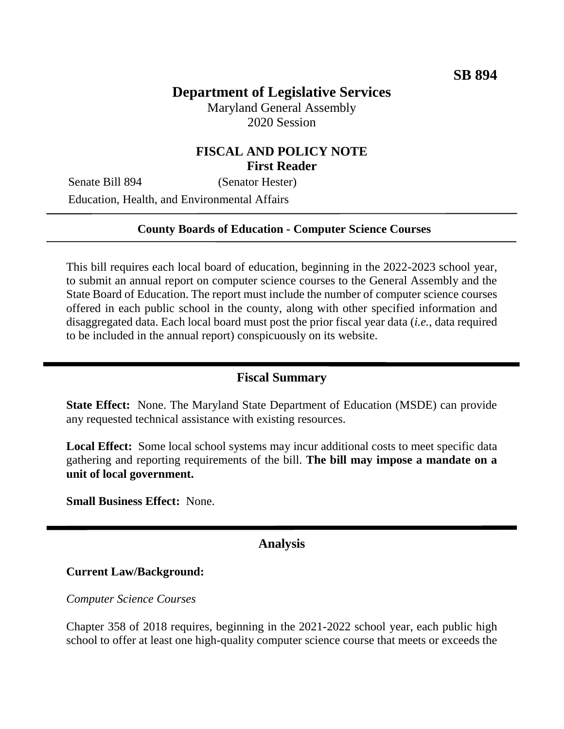# **Department of Legislative Services**

Maryland General Assembly 2020 Session

## **FISCAL AND POLICY NOTE First Reader**

Senate Bill 894 (Senator Hester) Education, Health, and Environmental Affairs

#### **County Boards of Education - Computer Science Courses**

This bill requires each local board of education, beginning in the 2022-2023 school year, to submit an annual report on computer science courses to the General Assembly and the State Board of Education. The report must include the number of computer science courses offered in each public school in the county, along with other specified information and disaggregated data. Each local board must post the prior fiscal year data (*i.e.*, data required to be included in the annual report) conspicuously on its website.

# **Fiscal Summary**

**State Effect:** None. The Maryland State Department of Education (MSDE) can provide any requested technical assistance with existing resources.

**Local Effect:** Some local school systems may incur additional costs to meet specific data gathering and reporting requirements of the bill. **The bill may impose a mandate on a unit of local government.**

**Small Business Effect:** None.

## **Analysis**

#### **Current Law/Background:**

*Computer Science Courses*

Chapter 358 of 2018 requires, beginning in the 2021-2022 school year, each public high school to offer at least one high-quality computer science course that meets or exceeds the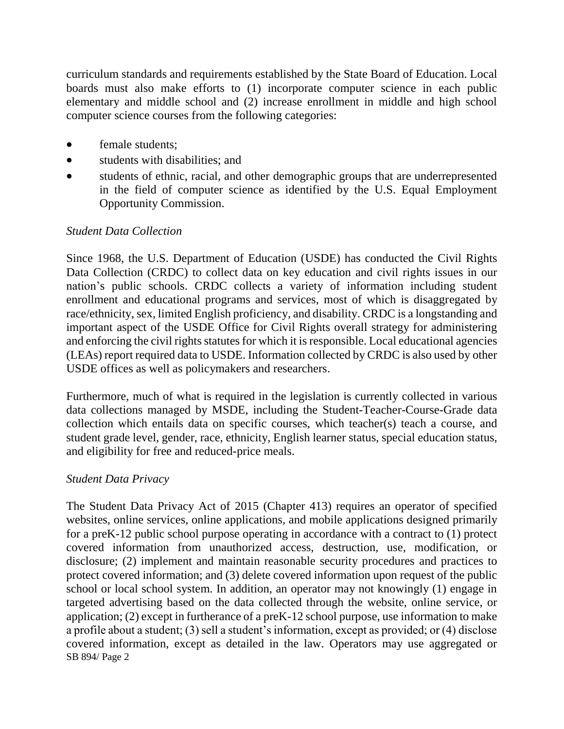curriculum standards and requirements established by the State Board of Education. Local boards must also make efforts to (1) incorporate computer science in each public elementary and middle school and (2) increase enrollment in middle and high school computer science courses from the following categories:

- female students:
- students with disabilities; and
- students of ethnic, racial, and other demographic groups that are underrepresented in the field of computer science as identified by the U.S. Equal Employment Opportunity Commission.

## *Student Data Collection*

Since 1968, the U.S. Department of Education (USDE) has conducted the Civil Rights Data Collection (CRDC) to collect data on key education and civil rights issues in our nation's public schools. CRDC collects a variety of information including student enrollment and educational programs and services, most of which is disaggregated by race/ethnicity, sex, limited English proficiency, and disability. CRDC is a longstanding and important aspect of the USDE Office for Civil Rights overall strategy for administering and enforcing the civil rights statutes for which it is responsible. Local educational agencies (LEAs) report required data to USDE. Information collected by CRDC is also used by other USDE offices as well as policymakers and researchers.

Furthermore, much of what is required in the legislation is currently collected in various data collections managed by MSDE, including the Student-Teacher-Course-Grade data collection which entails data on specific courses, which teacher(s) teach a course, and student grade level, gender, race, ethnicity, English learner status, special education status, and eligibility for free and reduced-price meals.

#### *Student Data Privacy*

SB 894/ Page 2 The Student Data Privacy Act of 2015 (Chapter 413) requires an operator of specified websites, online services, online applications, and mobile applications designed primarily for a preK-12 public school purpose operating in accordance with a contract to (1) protect covered information from unauthorized access, destruction, use, modification, or disclosure; (2) implement and maintain reasonable security procedures and practices to protect covered information; and (3) delete covered information upon request of the public school or local school system. In addition, an operator may not knowingly (1) engage in targeted advertising based on the data collected through the website, online service, or application; (2) except in furtherance of a preK-12 school purpose, use information to make a profile about a student; (3) sell a student's information, except as provided; or (4) disclose covered information, except as detailed in the law. Operators may use aggregated or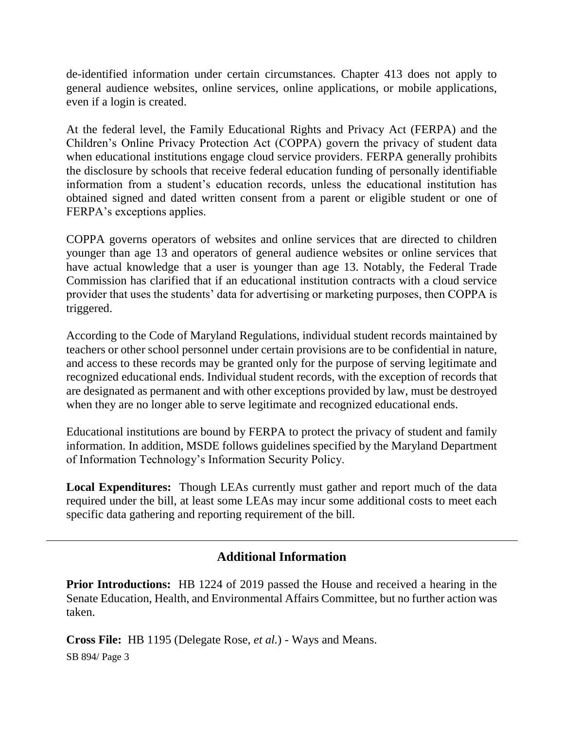de-identified information under certain circumstances. Chapter 413 does not apply to general audience websites, online services, online applications, or mobile applications, even if a login is created.

At the federal level, the Family Educational Rights and Privacy Act (FERPA) and the Children's Online Privacy Protection Act (COPPA) govern the privacy of student data when educational institutions engage cloud service providers. FERPA generally prohibits the disclosure by schools that receive federal education funding of personally identifiable information from a student's education records, unless the educational institution has obtained signed and dated written consent from a parent or eligible student or one of FERPA's exceptions applies.

COPPA governs operators of websites and online services that are directed to children younger than age 13 and operators of general audience websites or online services that have actual knowledge that a user is younger than age 13. Notably, the Federal Trade Commission has clarified that if an educational institution contracts with a cloud service provider that uses the students' data for advertising or marketing purposes, then COPPA is triggered.

According to the Code of Maryland Regulations, individual student records maintained by teachers or other school personnel under certain provisions are to be confidential in nature, and access to these records may be granted only for the purpose of serving legitimate and recognized educational ends. Individual student records, with the exception of records that are designated as permanent and with other exceptions provided by law, must be destroyed when they are no longer able to serve legitimate and recognized educational ends.

Educational institutions are bound by FERPA to protect the privacy of student and family information. In addition, MSDE follows guidelines specified by the Maryland Department of Information Technology's Information Security Policy.

**Local Expenditures:** Though LEAs currently must gather and report much of the data required under the bill, at least some LEAs may incur some additional costs to meet each specific data gathering and reporting requirement of the bill.

## **Additional Information**

**Prior Introductions:** HB 1224 of 2019 passed the House and received a hearing in the Senate Education, Health, and Environmental Affairs Committee, but no further action was taken.

SB 894/ Page 3 **Cross File:** HB 1195 (Delegate Rose, *et al.*) - Ways and Means.